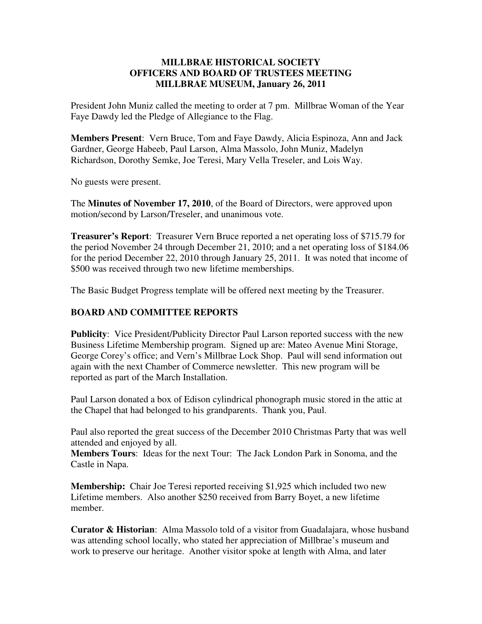## **MILLBRAE HISTORICAL SOCIETY OFFICERS AND BOARD OF TRUSTEES MEETING MILLBRAE MUSEUM, January 26, 2011**

President John Muniz called the meeting to order at 7 pm. Millbrae Woman of the Year Faye Dawdy led the Pledge of Allegiance to the Flag.

**Members Present**: Vern Bruce, Tom and Faye Dawdy, Alicia Espinoza, Ann and Jack Gardner, George Habeeb, Paul Larson, Alma Massolo, John Muniz, Madelyn Richardson, Dorothy Semke, Joe Teresi, Mary Vella Treseler, and Lois Way.

No guests were present.

The **Minutes of November 17, 2010**, of the Board of Directors, were approved upon motion/second by Larson/Treseler, and unanimous vote.

**Treasurer's Report**: Treasurer Vern Bruce reported a net operating loss of \$715.79 for the period November 24 through December 21, 2010; and a net operating loss of \$184.06 for the period December 22, 2010 through January 25, 2011. It was noted that income of \$500 was received through two new lifetime memberships.

The Basic Budget Progress template will be offered next meeting by the Treasurer.

## **BOARD AND COMMITTEE REPORTS**

**Publicity**: Vice President/Publicity Director Paul Larson reported success with the new Business Lifetime Membership program. Signed up are: Mateo Avenue Mini Storage, George Corey's office; and Vern's Millbrae Lock Shop. Paul will send information out again with the next Chamber of Commerce newsletter. This new program will be reported as part of the March Installation.

Paul Larson donated a box of Edison cylindrical phonograph music stored in the attic at the Chapel that had belonged to his grandparents. Thank you, Paul.

Paul also reported the great success of the December 2010 Christmas Party that was well attended and enjoyed by all.

**Members Tours**: Ideas for the next Tour: The Jack London Park in Sonoma, and the Castle in Napa.

**Membership:** Chair Joe Teresi reported receiving \$1,925 which included two new Lifetime members. Also another \$250 received from Barry Boyet, a new lifetime member.

**Curator & Historian**: Alma Massolo told of a visitor from Guadalajara, whose husband was attending school locally, who stated her appreciation of Millbrae's museum and work to preserve our heritage. Another visitor spoke at length with Alma, and later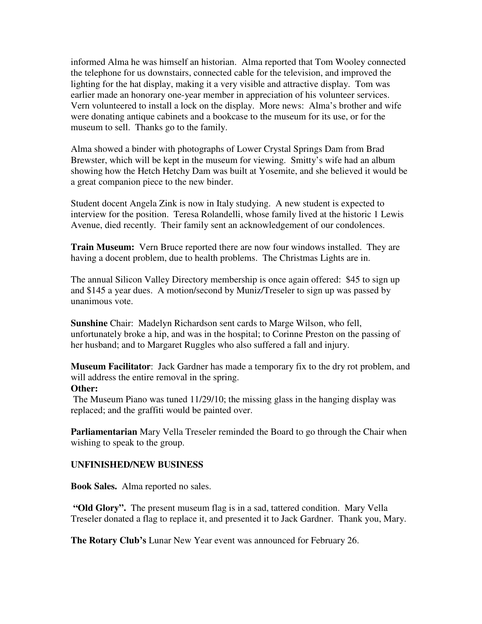informed Alma he was himself an historian. Alma reported that Tom Wooley connected the telephone for us downstairs, connected cable for the television, and improved the lighting for the hat display, making it a very visible and attractive display. Tom was earlier made an honorary one-year member in appreciation of his volunteer services. Vern volunteered to install a lock on the display. More news: Alma's brother and wife were donating antique cabinets and a bookcase to the museum for its use, or for the museum to sell. Thanks go to the family.

Alma showed a binder with photographs of Lower Crystal Springs Dam from Brad Brewster, which will be kept in the museum for viewing. Smitty's wife had an album showing how the Hetch Hetchy Dam was built at Yosemite, and she believed it would be a great companion piece to the new binder.

Student docent Angela Zink is now in Italy studying. A new student is expected to interview for the position. Teresa Rolandelli, whose family lived at the historic 1 Lewis Avenue, died recently. Their family sent an acknowledgement of our condolences.

**Train Museum:** Vern Bruce reported there are now four windows installed. They are having a docent problem, due to health problems. The Christmas Lights are in.

The annual Silicon Valley Directory membership is once again offered: \$45 to sign up and \$145 a year dues. A motion/second by Muniz/Treseler to sign up was passed by unanimous vote.

**Sunshine** Chair: Madelyn Richardson sent cards to Marge Wilson, who fell, unfortunately broke a hip, and was in the hospital; to Corinne Preston on the passing of her husband; and to Margaret Ruggles who also suffered a fall and injury.

**Museum Facilitator**: Jack Gardner has made a temporary fix to the dry rot problem, and will address the entire removal in the spring.

## **Other:**

 The Museum Piano was tuned 11/29/10; the missing glass in the hanging display was replaced; and the graffiti would be painted over.

**Parliamentarian** Mary Vella Treseler reminded the Board to go through the Chair when wishing to speak to the group.

## **UNFINISHED/NEW BUSINESS**

**Book Sales.** Alma reported no sales.

**"Old Glory".** The present museum flag is in a sad, tattered condition. Mary Vella Treseler donated a flag to replace it, and presented it to Jack Gardner. Thank you, Mary.

**The Rotary Club's** Lunar New Year event was announced for February 26.